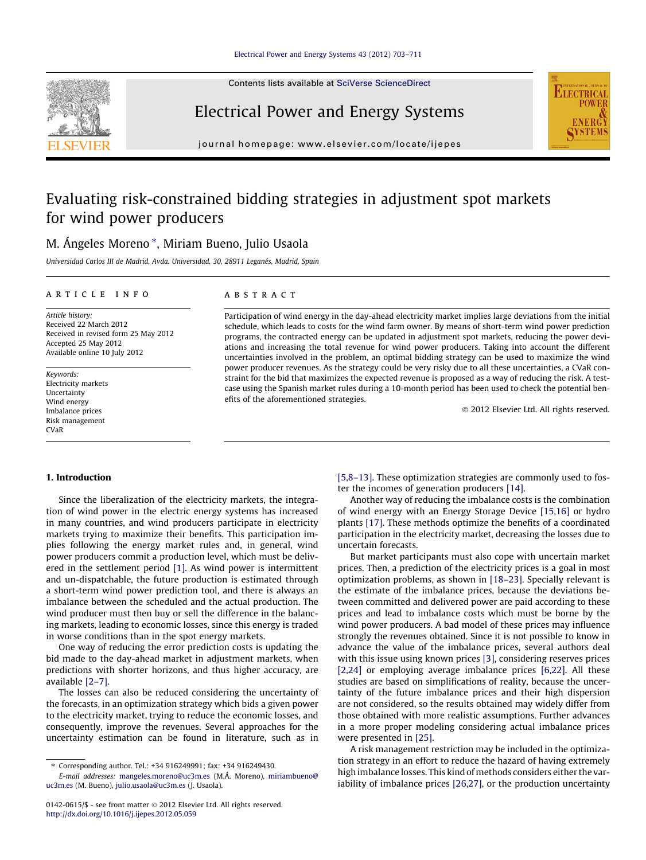Contents lists available at [SciVerse ScienceDirect](http://www.sciencedirect.com/science/journal/01420615)



# Electrical Power and Energy Systems



journal homepage: [www.elsevier.com/locate/ijepes](http://www.elsevier.com/locate/ijepes)

# Evaluating risk-constrained bidding strategies in adjustment spot markets for wind power producers

### M. Ángeles Moreno \*, Miriam Bueno, Julio Usaola

Universidad Carlos III de Madrid, Avda. Universidad, 30, 28911 Leganés, Madrid, Spain

#### article info

Article history: Received 22 March 2012 Received in revised form 25 May 2012 Accepted 25 May 2012 Available online 10 July 2012

Keywords: Electricity markets Uncertainty Wind energy Imbalance prices Risk management CVaR

#### **ABSTRACT**

Participation of wind energy in the day-ahead electricity market implies large deviations from the initial schedule, which leads to costs for the wind farm owner. By means of short-term wind power prediction programs, the contracted energy can be updated in adjustment spot markets, reducing the power deviations and increasing the total revenue for wind power producers. Taking into account the different uncertainties involved in the problem, an optimal bidding strategy can be used to maximize the wind power producer revenues. As the strategy could be very risky due to all these uncertainties, a CVaR constraint for the bid that maximizes the expected revenue is proposed as a way of reducing the risk. A testcase using the Spanish market rules during a 10-month period has been used to check the potential benefits of the aforementioned strategies.

- 2012 Elsevier Ltd. All rights reserved.

#### 1. Introduction

Since the liberalization of the electricity markets, the integration of wind power in the electric energy systems has increased in many countries, and wind producers participate in electricity markets trying to maximize their benefits. This participation implies following the energy market rules and, in general, wind power producers commit a production level, which must be delivered in the settlement period [\[1\].](#page--1-0) As wind power is intermittent and un-dispatchable, the future production is estimated through a short-term wind power prediction tool, and there is always an imbalance between the scheduled and the actual production. The wind producer must then buy or sell the difference in the balancing markets, leading to economic losses, since this energy is traded in worse conditions than in the spot energy markets.

One way of reducing the error prediction costs is updating the bid made to the day-ahead market in adjustment markets, when predictions with shorter horizons, and thus higher accuracy, are available [\[2–7\]](#page--1-0).

The losses can also be reduced considering the uncertainty of the forecasts, in an optimization strategy which bids a given power to the electricity market, trying to reduce the economic losses, and consequently, improve the revenues. Several approaches for the uncertainty estimation can be found in literature, such as in [\[5,8–13\]](#page--1-0). These optimization strategies are commonly used to foster the incomes of generation producers [\[14\].](#page--1-0)

Another way of reducing the imbalance costs is the combination of wind energy with an Energy Storage Device [\[15,16\]](#page--1-0) or hydro plants [\[17\].](#page--1-0) These methods optimize the benefits of a coordinated participation in the electricity market, decreasing the losses due to uncertain forecasts.

But market participants must also cope with uncertain market prices. Then, a prediction of the electricity prices is a goal in most optimization problems, as shown in [\[18–23\].](#page--1-0) Specially relevant is the estimate of the imbalance prices, because the deviations between committed and delivered power are paid according to these prices and lead to imbalance costs which must be borne by the wind power producers. A bad model of these prices may influence strongly the revenues obtained. Since it is not possible to know in advance the value of the imbalance prices, several authors deal with this issue using known prices [\[3\]](#page--1-0), considering reserves prices [\[2,24\]](#page--1-0) or employing average imbalance prices [\[6,22\]](#page--1-0). All these studies are based on simplifications of reality, because the uncertainty of the future imbalance prices and their high dispersion are not considered, so the results obtained may widely differ from those obtained with more realistic assumptions. Further advances in a more proper modeling considering actual imbalance prices were presented in [\[25\].](#page--1-0)

A risk management restriction may be included in the optimization strategy in an effort to reduce the hazard of having extremely high imbalance losses. This kind of methods considers either the variability of imbalance prices [\[26,27\]](#page--1-0), or the production uncertainty

<sup>⇑</sup> Corresponding author. Tel.: +34 916249991; fax: +34 916249430.

E-mail addresses: [mangeles.moreno@uc3m.es](mailto:mangeles.moreno@uc3m.es) (M.Á. Moreno), [miriambueno@](mailto:miriam.bueno@uc3m.es) [uc3m.es](mailto:miriam.bueno@uc3m.es) (M. Bueno), [julio.usaola@uc3m.es](mailto:julio.usaola@uc3m.es) (J. Usaola).

<sup>0142-0615/\$ -</sup> see front matter © 2012 Elsevier Ltd. All rights reserved. <http://dx.doi.org/10.1016/j.ijepes.2012.05.059>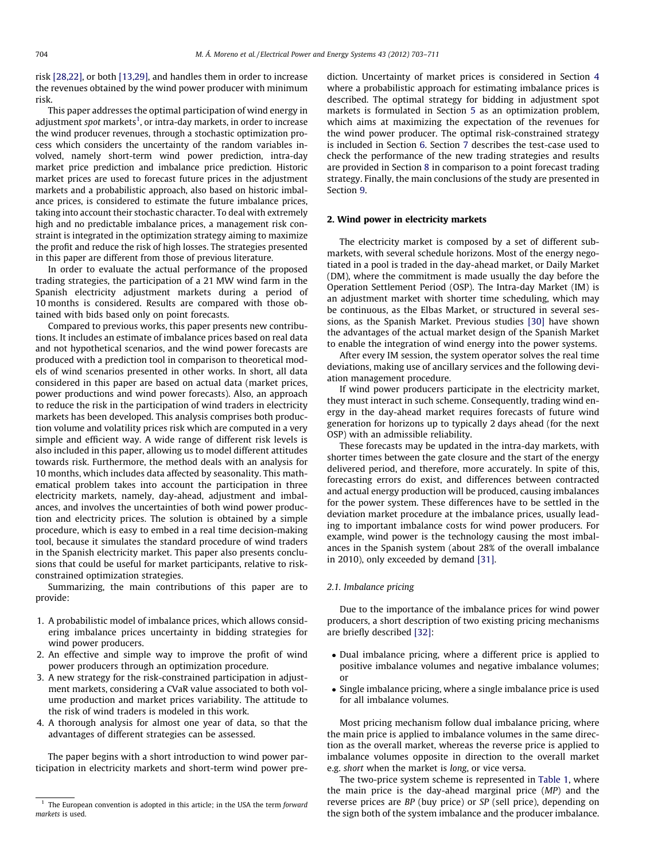risk [\[28,22\],](#page--1-0) or both [\[13,29\],](#page--1-0) and handles them in order to increase the revenues obtained by the wind power producer with minimum risk.

This paper addresses the optimal participation of wind energy in adjustment *spot* markets<sup>1</sup>, or intra-day markets, in order to increase the wind producer revenues, through a stochastic optimization process which considers the uncertainty of the random variables involved, namely short-term wind power prediction, intra-day market price prediction and imbalance price prediction. Historic market prices are used to forecast future prices in the adjustment markets and a probabilistic approach, also based on historic imbalance prices, is considered to estimate the future imbalance prices, taking into account their stochastic character. To deal with extremely high and no predictable imbalance prices, a management risk constraint is integrated in the optimization strategy aiming to maximize the profit and reduce the risk of high losses. The strategies presented in this paper are different from those of previous literature.

In order to evaluate the actual performance of the proposed trading strategies, the participation of a 21 MW wind farm in the Spanish electricity adjustment markets during a period of 10 months is considered. Results are compared with those obtained with bids based only on point forecasts.

Compared to previous works, this paper presents new contributions. It includes an estimate of imbalance prices based on real data and not hypothetical scenarios, and the wind power forecasts are produced with a prediction tool in comparison to theoretical models of wind scenarios presented in other works. In short, all data considered in this paper are based on actual data (market prices, power productions and wind power forecasts). Also, an approach to reduce the risk in the participation of wind traders in electricity markets has been developed. This analysis comprises both production volume and volatility prices risk which are computed in a very simple and efficient way. A wide range of different risk levels is also included in this paper, allowing us to model different attitudes towards risk. Furthermore, the method deals with an analysis for 10 months, which includes data affected by seasonality. This mathematical problem takes into account the participation in three electricity markets, namely, day-ahead, adjustment and imbalances, and involves the uncertainties of both wind power production and electricity prices. The solution is obtained by a simple procedure, which is easy to embed in a real time decision-making tool, because it simulates the standard procedure of wind traders in the Spanish electricity market. This paper also presents conclusions that could be useful for market participants, relative to riskconstrained optimization strategies.

Summarizing, the main contributions of this paper are to provide:

- 1. A probabilistic model of imbalance prices, which allows considering imbalance prices uncertainty in bidding strategies for wind power producers.
- 2. An effective and simple way to improve the profit of wind power producers through an optimization procedure.
- 3. A new strategy for the risk-constrained participation in adjustment markets, considering a CVaR value associated to both volume production and market prices variability. The attitude to the risk of wind traders is modeled in this work.
- 4. A thorough analysis for almost one year of data, so that the advantages of different strategies can be assessed.

The paper begins with a short introduction to wind power participation in electricity markets and short-term wind power prediction. Uncertainty of market prices is considered in Section [4](#page--1-0) where a probabilistic approach for estimating imbalance prices is described. The optimal strategy for bidding in adjustment spot markets is formulated in Section [5](#page--1-0) as an optimization problem, which aims at maximizing the expectation of the revenues for the wind power producer. The optimal risk-constrained strategy is included in Section [6.](#page--1-0) Section [7](#page--1-0) describes the test-case used to check the performance of the new trading strategies and results are provided in Section [8](#page--1-0) in comparison to a point forecast trading strategy. Finally, the main conclusions of the study are presented in Section [9.](#page--1-0)

#### 2. Wind power in electricity markets

The electricity market is composed by a set of different submarkets, with several schedule horizons. Most of the energy negotiated in a pool is traded in the day-ahead market, or Daily Market (DM), where the commitment is made usually the day before the Operation Settlement Period (OSP). The Intra-day Market (IM) is an adjustment market with shorter time scheduling, which may be continuous, as the Elbas Market, or structured in several sessions, as the Spanish Market. Previous studies [\[30\]](#page--1-0) have shown the advantages of the actual market design of the Spanish Market to enable the integration of wind energy into the power systems.

After every IM session, the system operator solves the real time deviations, making use of ancillary services and the following deviation management procedure.

If wind power producers participate in the electricity market, they must interact in such scheme. Consequently, trading wind energy in the day-ahead market requires forecasts of future wind generation for horizons up to typically 2 days ahead (for the next OSP) with an admissible reliability.

These forecasts may be updated in the intra-day markets, with shorter times between the gate closure and the start of the energy delivered period, and therefore, more accurately. In spite of this, forecasting errors do exist, and differences between contracted and actual energy production will be produced, causing imbalances for the power system. These differences have to be settled in the deviation market procedure at the imbalance prices, usually leading to important imbalance costs for wind power producers. For example, wind power is the technology causing the most imbalances in the Spanish system (about 28% of the overall imbalance in 2010), only exceeded by demand [\[31\].](#page--1-0)

#### 2.1. Imbalance pricing

Due to the importance of the imbalance prices for wind power producers, a short description of two existing pricing mechanisms are briefly described [\[32\]:](#page--1-0)

- Dual imbalance pricing, where a different price is applied to positive imbalance volumes and negative imbalance volumes; or
- Single imbalance pricing, where a single imbalance price is used for all imbalance volumes.

Most pricing mechanism follow dual imbalance pricing, where the main price is applied to imbalance volumes in the same direction as the overall market, whereas the reverse price is applied to imbalance volumes opposite in direction to the overall market e.g. short when the market is long, or vice versa.

The two-price system scheme is represented in [Table 1](#page--1-0), where the main price is the day-ahead marginal price (MP) and the reverse prices are BP (buy price) or SP (sell price), depending on the sign both of the system imbalance and the producer imbalance.

 $1$  The European convention is adopted in this article; in the USA the term forward markets is used.